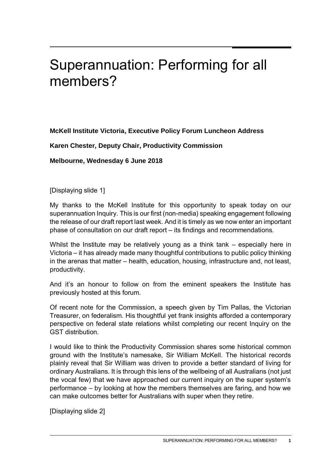# Superannuation: Performing for all members?

**McKell Institute Victoria, Executive Policy Forum Luncheon Address** 

**Karen Chester, Deputy Chair, Productivity Commission** 

**Melbourne, Wednesday 6 June 2018** 

[Displaying slide 1]

My thanks to the McKell Institute for this opportunity to speak today on our superannuation Inquiry. This is our first (non-media) speaking engagement following the release of our draft report last week. And it is timely as we now enter an important phase of consultation on our draft report – its findings and recommendations.

Whilst the Institute may be relatively young as a think tank – especially here in Victoria – it has already made many thoughtful contributions to public policy thinking in the arenas that matter – health, education, housing, infrastructure and, not least, productivity.

And it's an honour to follow on from the eminent speakers the Institute has previously hosted at this forum.

Of recent note for the Commission, a speech given by Tim Pallas, the Victorian Treasurer, on federalism. His thoughtful yet frank insights afforded a contemporary perspective on federal state relations whilst completing our recent Inquiry on the GST distribution.

I would like to think the Productivity Commission shares some historical common ground with the Institute's namesake, Sir William McKell. The historical records plainly reveal that Sir William was driven to provide a better standard of living for ordinary Australians. It is through this lens of the wellbeing of all Australians (not just the vocal few) that we have approached our current inquiry on the super system's performance – by looking at how the members themselves are faring, and how we can make outcomes better for Australians with super when they retire.

[Displaying slide 2]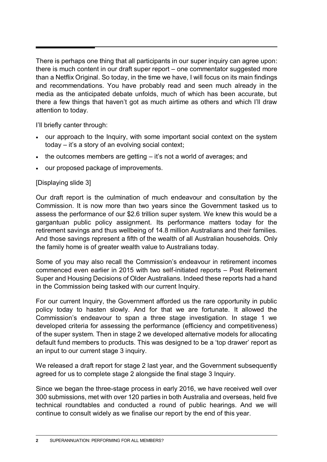There is perhaps one thing that all participants in our super inquiry can agree upon: there is much content in our draft super report – one commentator suggested more than a Netflix Original. So today, in the time we have, I will focus on its main findings and recommendations. You have probably read and seen much already in the media as the anticipated debate unfolds, much of which has been accurate, but there a few things that haven't got as much airtime as others and which I'll draw attention to today.

I'll briefly canter through:

- our approach to the Inquiry, with some important social context on the system today – it's a story of an evolving social context;
- $\bullet$  the outcomes members are getting  $-$  it's not a world of averages; and
- our proposed package of improvements.

#### [Displaying slide 3]

Our draft report is the culmination of much endeavour and consultation by the Commission. It is now more than two years since the Government tasked us to assess the performance of our \$2.6 trillion super system. We knew this would be a gargantuan public policy assignment. Its performance matters today for the retirement savings and thus wellbeing of 14.8 million Australians and their families. And those savings represent a fifth of the wealth of all Australian households. Only the family home is of greater wealth value to Australians today.

Some of you may also recall the Commission's endeavour in retirement incomes commenced even earlier in 2015 with two self-initiated reports – Post Retirement Super and Housing Decisions of Older Australians. Indeed these reports had a hand in the Commission being tasked with our current Inquiry.

For our current Inquiry, the Government afforded us the rare opportunity in public policy today to hasten slowly. And for that we are fortunate. It allowed the Commission's endeavour to span a three stage investigation. In stage 1 we developed criteria for assessing the performance (efficiency and competitiveness) of the super system. Then in stage 2 we developed alternative models for allocating default fund members to products. This was designed to be a 'top drawer' report as an input to our current stage 3 inquiry.

We released a draft report for stage 2 last year, and the Government subsequently agreed for us to complete stage 2 alongside the final stage 3 Inquiry.

Since we began the three-stage process in early 2016, we have received well over 300 submissions, met with over 120 parties in both Australia and overseas, held five technical roundtables and conducted a round of public hearings. And we will continue to consult widely as we finalise our report by the end of this year.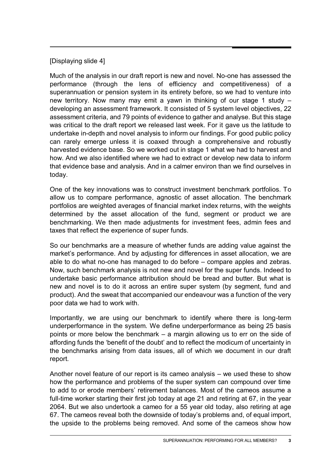## [Displaying slide 4]

Much of the analysis in our draft report is new and novel. No-one has assessed the performance (through the lens of efficiency and competitiveness) of a superannuation or pension system in its entirety before, so we had to venture into new territory. Now many may emit a yawn in thinking of our stage 1 study – developing an assessment framework. It consisted of 5 system level objectives, 22 assessment criteria, and 79 points of evidence to gather and analyse. But this stage was critical to the draft report we released last week. For it gave us the latitude to undertake in-depth and novel analysis to inform our findings. For good public policy can rarely emerge unless it is coaxed through a comprehensive and robustly harvested evidence base. So we worked out in stage 1 what we had to harvest and how. And we also identified where we had to extract or develop new data to inform that evidence base and analysis. And in a calmer environ than we find ourselves in today.

One of the key innovations was to construct investment benchmark portfolios. To allow us to compare performance, agnostic of asset allocation. The benchmark portfolios are weighted averages of financial market index returns, with the weights determined by the asset allocation of the fund, segment or product we are benchmarking. We then made adjustments for investment fees, admin fees and taxes that reflect the experience of super funds.

So our benchmarks are a measure of whether funds are adding value against the market's performance. And by adjusting for differences in asset allocation, we are able to do what no-one has managed to do before – compare apples and zebras. Now, such benchmark analysis is not new and novel for the super funds. Indeed to undertake basic performance attribution should be bread and butter. But what is new and novel is to do it across an entire super system (by segment, fund and product). And the sweat that accompanied our endeavour was a function of the very poor data we had to work with.

Importantly, we are using our benchmark to identify where there is long-term underperformance in the system. We define underperformance as being 25 basis points or more below the benchmark – a margin allowing us to err on the side of affording funds the 'benefit of the doubt' and to reflect the modicum of uncertainty in the benchmarks arising from data issues, all of which we document in our draft report.

Another novel feature of our report is its cameo analysis – we used these to show how the performance and problems of the super system can compound over time to add to or erode members' retirement balances. Most of the cameos assume a full-time worker starting their first job today at age 21 and retiring at 67, in the year 2064. But we also undertook a cameo for a 55 year old today, also retiring at age 67. The cameos reveal both the downside of today's problems and, of equal import, the upside to the problems being removed. And some of the cameos show how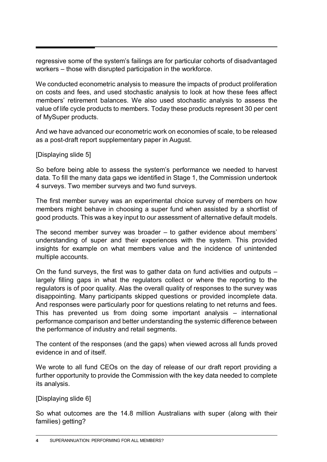regressive some of the system's failings are for particular cohorts of disadvantaged workers – those with disrupted participation in the workforce.

We conducted econometric analysis to measure the impacts of product proliferation on costs and fees, and used stochastic analysis to look at how these fees affect members' retirement balances. We also used stochastic analysis to assess the value of life cycle products to members. Today these products represent 30 per cent of MySuper products.

And we have advanced our econometric work on economies of scale, to be released as a post-draft report supplementary paper in August.

[Displaying slide 5]

So before being able to assess the system's performance we needed to harvest data. To fill the many data gaps we identified in Stage 1, the Commission undertook 4 surveys. Two member surveys and two fund surveys.

The first member survey was an experimental choice survey of members on how members might behave in choosing a super fund when assisted by a shortlist of good products. This was a key input to our assessment of alternative default models.

The second member survey was broader – to gather evidence about members' understanding of super and their experiences with the system. This provided insights for example on what members value and the incidence of unintended multiple accounts.

On the fund surveys, the first was to gather data on fund activities and outputs – largely filling gaps in what the regulators collect or where the reporting to the regulators is of poor quality. Alas the overall quality of responses to the survey was disappointing. Many participants skipped questions or provided incomplete data. And responses were particularly poor for questions relating to net returns and fees. This has prevented us from doing some important analysis – international performance comparison and better understanding the systemic difference between the performance of industry and retail segments.

The content of the responses (and the gaps) when viewed across all funds proved evidence in and of itself.

We wrote to all fund CEOs on the day of release of our draft report providing a further opportunity to provide the Commission with the key data needed to complete its analysis.

[Displaying slide 6]

So what outcomes are the 14.8 million Australians with super (along with their families) getting?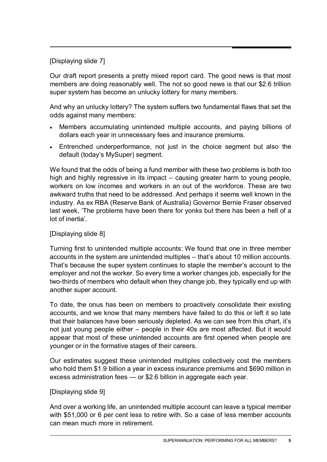## [Displaying slide 7]

Our draft report presents a pretty mixed report card. The good news is that most members are doing reasonably well. The not so good news is that our \$2.6 trillion super system has become an unlucky lottery for many members.

And why an unlucky lottery? The system suffers two fundamental flaws that set the odds against many members:

- Members accumulating unintended multiple accounts, and paying billions of dollars each year in unnecessary fees and insurance premiums.
- Entrenched underperformance, not just in the choice segment but also the default (today's MySuper) segment.

We found that the odds of being a fund member with these two problems is both too high and highly regressive in its impact – causing greater harm to young people, workers on low incomes and workers in an out of the workforce. These are two awkward truths that need to be addressed. And perhaps it seems well known in the industry. As ex RBA (Reserve Bank of Australia) Governor Bernie Fraser observed last week, 'The problems have been there for yonks but there has been a hell of a lot of inertia'.

### [Displaying slide 8]

Turning first to unintended multiple accounts: We found that one in three member accounts in the system are unintended multiples – that's about 10 million accounts. That's because the super system continues to staple the member's account to the employer and not the worker. So every time a worker changes job, especially for the two-thirds of members who default when they change job, they typically end up with another super account.

To date, the onus has been on members to proactively consolidate their existing accounts, and we know that many members have failed to do this or left it so late that their balances have been seriously depleted. As we can see from this chart, it's not just young people either – people in their 40s are most affected. But it would appear that most of these unintended accounts are first opened when people are younger or in the formative stages of their careers.

Our estimates suggest these unintended multiples collectively cost the members who hold them \$1.9 billion a year in excess insurance premiums and \$690 million in excess administration fees — or \$2.6 billion in aggregate each year.

#### [Displaying slide 9]

And over a working life, an unintended multiple account can leave a typical member with \$51,000 or 6 per cent less to retire with. So a case of less member accounts can mean much more in retirement.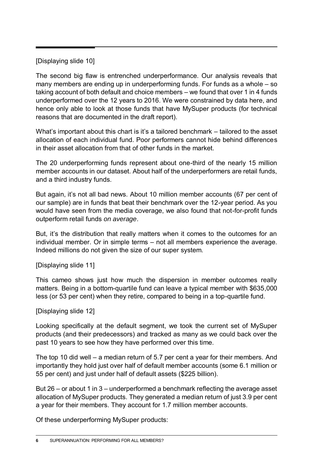## [Displaying slide 10]

The second big flaw is entrenched underperformance. Our analysis reveals that many members are ending up in underperforming funds. For funds as a whole – so taking account of both default and choice members – we found that over 1 in 4 funds underperformed over the 12 years to 2016. We were constrained by data here, and hence only able to look at those funds that have MySuper products (for technical reasons that are documented in the draft report).

What's important about this chart is it's a tailored benchmark – tailored to the asset allocation of each individual fund. Poor performers cannot hide behind differences in their asset allocation from that of other funds in the market.

The 20 underperforming funds represent about one-third of the nearly 15 million member accounts in our dataset. About half of the underperformers are retail funds, and a third industry funds.

But again, it's not all bad news. About 10 million member accounts (67 per cent of our sample) are in funds that beat their benchmark over the 12-year period. As you would have seen from the media coverage, we also found that not-for-profit funds outperform retail funds *on average*.

But, it's the distribution that really matters when it comes to the outcomes for an individual member. Or in simple terms – not all members experience the average. Indeed millions do not given the size of our super system.

[Displaying slide 11]

This cameo shows just how much the dispersion in member outcomes really matters. Being in a bottom-quartile fund can leave a typical member with \$635,000 less (or 53 per cent) when they retire, compared to being in a top-quartile fund.

[Displaying slide 12]

Looking specifically at the default segment, we took the current set of MySuper products (and their predecessors) and tracked as many as we could back over the past 10 years to see how they have performed over this time.

The top 10 did well – a median return of 5.7 per cent a year for their members. And importantly they hold just over half of default member accounts (some 6.1 million or 55 per cent) and just under half of default assets (\$225 billion).

But 26 – or about 1 in 3 – underperformed a benchmark reflecting the average asset allocation of MySuper products. They generated a median return of just 3.9 per cent a year for their members. They account for 1.7 million member accounts.

Of these underperforming MySuper products: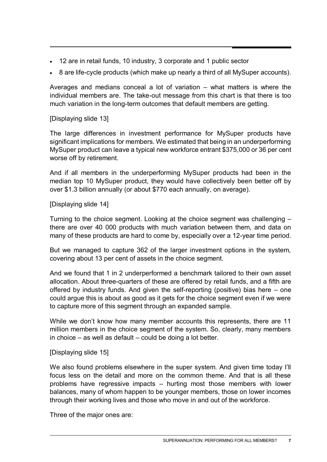- 12 are in retail funds, 10 industry, 3 corporate and 1 public sector
- 8 are life-cycle products (which make up nearly a third of all MySuper accounts).

Averages and medians conceal a lot of variation – what matters is where the individual members are. The take-out message from this chart is that there is too much variation in the long-term outcomes that default members are getting.

[Displaying slide 13]

The large differences in investment performance for MySuper products have significant implications for members. We estimated that being in an underperforming MySuper product can leave a typical new workforce entrant \$375,000 or 36 per cent worse off by retirement.

And if all members in the underperforming MySuper products had been in the median top 10 MySuper product, they would have collectively been better off by over \$1.3 billion annually (or about \$770 each annually, on average).

[Displaying slide 14]

Turning to the choice segment. Looking at the choice segment was challenging – there are over 40 000 products with much variation between them, and data on many of these products are hard to come by, especially over a 12-year time period.

But we managed to capture 362 of the larger investment options in the system, covering about 13 per cent of assets in the choice segment.

And we found that 1 in 2 underperformed a benchmark tailored to their own asset allocation. About three-quarters of these are offered by retail funds, and a fifth are offered by industry funds. And given the self-reporting (positive) bias here – one could argue this is about as good as it gets for the choice segment even if we were to capture more of this segment through an expanded sample.

While we don't know how many member accounts this represents, there are 11 million members in the choice segment of the system. So, clearly, many members in choice – as well as default – could be doing a lot better.

[Displaying slide 15]

We also found problems elsewhere in the super system. And given time today I'll focus less on the detail and more on the common theme. And that is all these problems have regressive impacts – hurting most those members with lower balances, many of whom happen to be younger members, those on lower incomes through their working lives and those who move in and out of the workforce.

Three of the major ones are: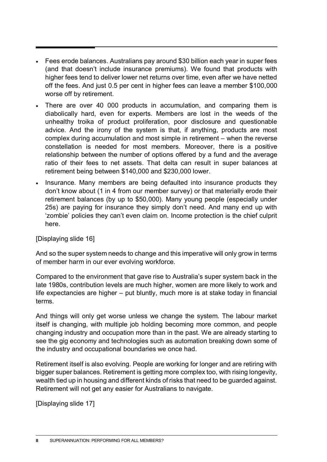- Fees erode balances. Australians pay around \$30 billion each year in super fees (and that doesn't include insurance premiums). We found that products with higher fees tend to deliver lower net returns over time, even after we have netted off the fees. And just 0.5 per cent in higher fees can leave a member \$100,000 worse off by retirement.
- There are over 40 000 products in accumulation, and comparing them is diabolically hard, even for experts. Members are lost in the weeds of the unhealthy troika of product proliferation, poor disclosure and questionable advice. And the irony of the system is that, if anything, products are most complex during accumulation and most simple in retirement – when the reverse constellation is needed for most members. Moreover, there is a positive relationship between the number of options offered by a fund and the average ratio of their fees to net assets. That delta can result in super balances at retirement being between \$140,000 and \$230,000 lower.
- Insurance. Many members are being defaulted into insurance products they don't know about (1 in 4 from our member survey) or that materially erode their retirement balances (by up to \$50,000). Many young people (especially under 25s) are paying for insurance they simply don't need. And many end up with 'zombie' policies they can't even claim on. Income protection is the chief culprit here.

#### [Displaying slide 16]

And so the super system needs to change and this imperative will only grow in terms of member harm in our ever evolving workforce.

Compared to the environment that gave rise to Australia's super system back in the late 1980s, contribution levels are much higher, women are more likely to work and life expectancies are higher – put bluntly, much more is at stake today in financial terms.

And things will only get worse unless we change the system. The labour market itself is changing, with multiple job holding becoming more common, and people changing industry and occupation more than in the past. We are already starting to see the gig economy and technologies such as automation breaking down some of the industry and occupational boundaries we once had.

Retirement itself is also evolving. People are working for longer and are retiring with bigger super balances. Retirement is getting more complex too, with rising longevity, wealth tied up in housing and different kinds of risks that need to be guarded against. Retirement will not get any easier for Australians to navigate.

[Displaying slide 17]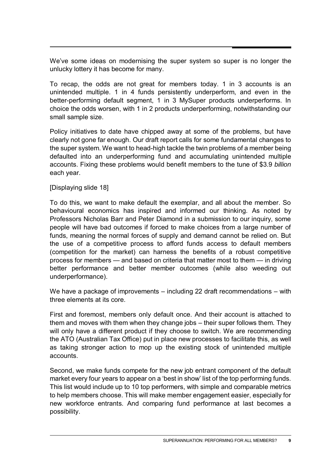We've some ideas on modernising the super system so super is no longer the unlucky lottery it has become for many.

To recap, the odds are not great for members today. 1 in 3 accounts is an unintended multiple. 1 in 4 funds persistently underperform, and even in the better-performing default segment, 1 in 3 MySuper products underperforms. In choice the odds worsen, with 1 in 2 products underperforming, notwithstanding our small sample size.

Policy initiatives to date have chipped away at some of the problems, but have clearly not gone far enough. Our draft report calls for some fundamental changes to the super system. We want to head-high tackle the twin problems of a member being defaulted into an underperforming fund and accumulating unintended multiple accounts. Fixing these problems would benefit members to the tune of \$3.9 *billion* each year.

[Displaying slide 18]

To do this, we want to make default the exemplar, and all about the member. So behavioural economics has inspired and informed our thinking. As noted by Professors Nicholas Barr and Peter Diamond in a submission to our inquiry, some people will have bad outcomes if forced to make choices from a large number of funds, meaning the normal forces of supply and demand cannot be relied on. But the use of a competitive process to afford funds access to default members (competition for the market) can harness the benefits of a robust competitive process for members — and based on criteria that matter most to them — in driving better performance and better member outcomes (while also weeding out underperformance).

We have a package of improvements – including 22 draft recommendations – with three elements at its core.

First and foremost, members only default once. And their account is attached to them and moves with them when they change jobs – their super follows them. They will only have a different product if they choose to switch. We are recommending the ATO (Australian Tax Office) put in place new processes to facilitate this, as well as taking stronger action to mop up the existing stock of unintended multiple accounts.

Second, we make funds compete for the new job entrant component of the default market every four years to appear on a 'best in show' list of the top performing funds. This list would include up to 10 top performers, with simple and comparable metrics to help members choose. This will make member engagement easier, especially for new workforce entrants. And comparing fund performance at last becomes a possibility.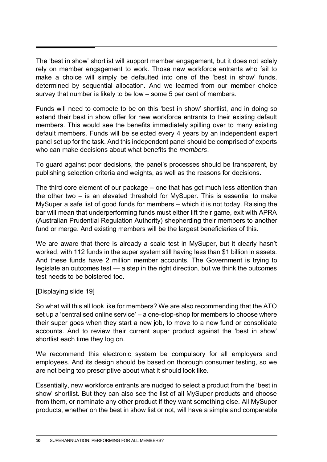The 'best in show' shortlist will support member engagement, but it does not solely rely on member engagement to work. Those new workforce entrants who fail to make a choice will simply be defaulted into one of the 'best in show' funds, determined by sequential allocation. And we learned from our member choice survey that number is likely to be low – some 5 per cent of members.

Funds will need to compete to be on this 'best in show' shortlist, and in doing so extend their best in show offer for new workforce entrants to their existing default members. This would see the benefits immediately spilling over to many existing default members. Funds will be selected every 4 years by an independent expert panel set up for the task. And this independent panel should be comprised of experts who can make decisions about what benefits the *members*.

To guard against poor decisions, the panel's processes should be transparent, by publishing selection criteria and weights, as well as the reasons for decisions.

The third core element of our package – one that has got much less attention than the other two – is an elevated threshold for MySuper. This is essential to make MySuper a safe list of good funds for members – which it is not today. Raising the bar will mean that underperforming funds must either lift their game, exit with APRA (Australian Prudential Regulation Authority) shepherding their members to another fund or merge. And existing members will be the largest beneficiaries of this.

We are aware that there is already a scale test in MySuper, but it clearly hasn't worked, with 112 funds in the super system still having less than \$1 billion in assets. And these funds have 2 million member accounts. The Government is trying to legislate an outcomes test — a step in the right direction, but we think the outcomes test needs to be bolstered too.

#### [Displaying slide 19]

So what will this all look like for members? We are also recommending that the ATO set up a 'centralised online service' – a one-stop-shop for members to choose where their super goes when they start a new job, to move to a new fund or consolidate accounts. And to review their current super product against the 'best in show' shortlist each time they log on.

We recommend this electronic system be compulsory for all employers and employees. And its design should be based on thorough consumer testing, so we are not being too prescriptive about what it should look like.

Essentially, new workforce entrants are nudged to select a product from the 'best in show' shortlist. But they can also see the list of all MySuper products and choose from them, or nominate any other product if they want something else. All MySuper products, whether on the best in show list or not, will have a simple and comparable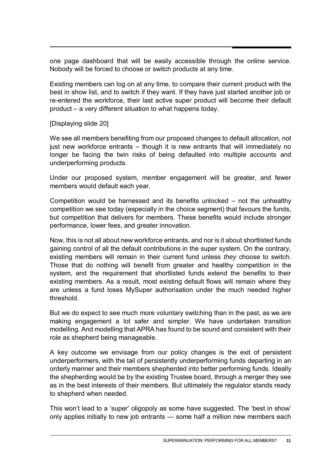one page dashboard that will be easily accessible through the online service. Nobody will be forced to choose or switch products at any time.

Existing members can log on at any time, to compare their current product with the best in show list, and to switch if they want. If they have just started another job or re-entered the workforce, their last active super product will become their default product – a very different situation to what happens today.

[Displaying slide 20]

We see all members benefiting from our proposed changes to default allocation, not just new workforce entrants – though it is new entrants that will immediately no longer be facing the twin risks of being defaulted into multiple accounts and underperforming products.

Under our proposed system, member engagement will be greater, and fewer members would default each year.

Competition would be harnessed and its benefits unlocked – not the unhealthy competition we see today (especially in the choice segment) that favours the funds, but competition that delivers for members. These benefits would include stronger performance, lower fees, and greater innovation.

Now, this is not all about new workforce entrants, and nor is it about shortlisted funds gaining control of all the default contributions in the super system. On the contrary, existing members will remain in their current fund unless *they* choose to switch. Those that do nothing will benefit from greater and healthy competition in the system, and the requirement that shortlisted funds extend the benefits to their existing members. As a result, most existing default flows will remain where they are unless a fund loses MySuper authorisation under the much needed higher threshold.

But we do expect to see much more voluntary switching than in the past, as we are making engagement a lot safer and simpler. We have undertaken transition modelling. And modelling that APRA has found to be sound and consistent with their role as shepherd being manageable.

A key outcome we envisage from our policy changes is the exit of persistent underperformers, with the tail of persistently underperforming funds departing in an orderly manner and their members shepherded into better performing funds. Ideally the shepherding would be by the existing Trustee board, through a merger they see as in the best interests of their members. But ultimately the regulator stands ready to shepherd when needed.

This won't lead to a 'super' oligopoly as some have suggested. The 'best in show' only applies initially to new job entrants — some half a million new members each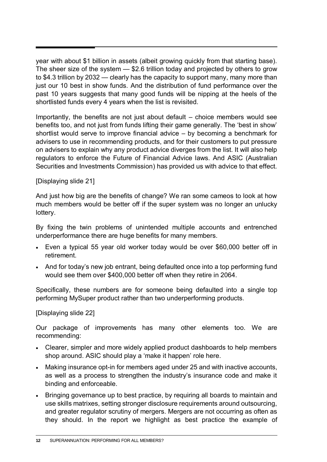year with about \$1 billion in assets (albeit growing quickly from that starting base). The sheer size of the system — \$2.6 trillion today and projected by others to grow to \$4.3 trillion by 2032 — clearly has the capacity to support many, many more than just our 10 best in show funds. And the distribution of fund performance over the past 10 years suggests that many good funds will be nipping at the heels of the shortlisted funds every 4 years when the list is revisited.

Importantly, the benefits are not just about default – choice members would see benefits too, and not just from funds lifting their game generally. The 'best in show' shortlist would serve to improve financial advice – by becoming a benchmark for advisers to use in recommending products, and for their customers to put pressure on advisers to explain why any product advice diverges from the list. It will also help regulators to enforce the Future of Financial Advice laws. And ASIC (Australian Securities and Investments Commission) has provided us with advice to that effect.

[Displaying slide 21]

And just how big are the benefits of change? We ran some cameos to look at how much members would be better off if the super system was no longer an unlucky lottery.

By fixing the twin problems of unintended multiple accounts and entrenched underperformance there are huge benefits for many members.

- Even a typical 55 year old worker today would be over \$60,000 better off in retirement.
- And for today's new job entrant, being defaulted once into a top performing fund would see them over \$400,000 better off when they retire in 2064.

Specifically, these numbers are for someone being defaulted into a single top performing MySuper product rather than two underperforming products.

[Displaying slide 22]

Our package of improvements has many other elements too. We are recommending:

- Clearer, simpler and more widely applied product dashboards to help members shop around. ASIC should play a 'make it happen' role here.
- Making insurance opt-in for members aged under 25 and with inactive accounts, as well as a process to strengthen the industry's insurance code and make it binding and enforceable.
- Bringing governance up to best practice, by requiring all boards to maintain and use skills matrixes, setting stronger disclosure requirements around outsourcing, and greater regulator scrutiny of mergers. Mergers are not occurring as often as they should. In the report we highlight as best practice the example of